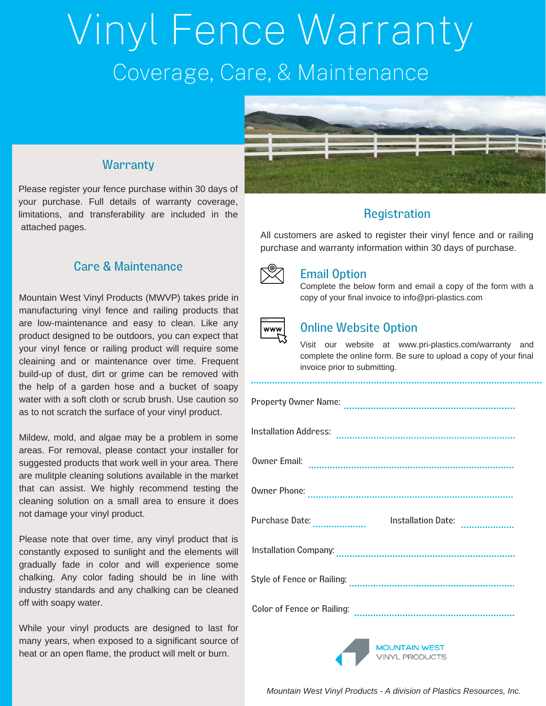# Vinyl Fence Warranty Coverage, Care, & Maintenance



## **Warranty**

Please register your fence purchase within 30 days of your purchase. Full details of warranty coverage, limitations, and transferability are included in the attached pages.

#### Care & Maintenance

Mountain West Vinyl Products (MWVP) takes pride in manufacturing vinyl fence and railing products that are low-maintenance and easy to clean. Like any product designed to be outdoors, you can expect that your vinyl fence or railing product will require some cleaining and or maintenance over time. Frequent build-up of dust, dirt or grime can be removed with the help of a garden hose and a bucket of soapy water with a soft cloth or scrub brush. Use caution so as to not scratch the surface of your vinyl product.

Mildew, mold, and algae may be a problem in some areas. For removal, please contact your installer for suggested products that work well in your area. There are mulitple cleaning solutions available in the market that can assist. We highly recommend testing the cleaning solution on a small area to ensure it does not damage your vinyl product.

Please note that over time, any vinyl product that is constantly exposed to sunlight and the elements will gradually fade in color and will experience some chalking. Any color fading should be in line with industry standards and any chalking can be cleaned off with soapy water.

While your vinyl products are designed to last for many years, when exposed to a significant source of heat or an open flame, the product will melt or burn.

### **Registration**

All customers are asked to register their vinyl fence and or railing purchase and warranty information within 30 days of purchase.



#### Email Option

Complete the below form and email a copy of the form with a copy of your final invoice to info@pri-plastics.com



#### Online Website Option

Visit our website at www.pri-plastics.com/warranty and complete the online form. Be sure to upload a copy of your final invoice prior to submitting.

| Purchase Date: | Installation Date: |  |
|----------------|--------------------|--|
|                |                    |  |
|                |                    |  |
|                |                    |  |
|                |                    |  |

**MOUNTAIN WEST**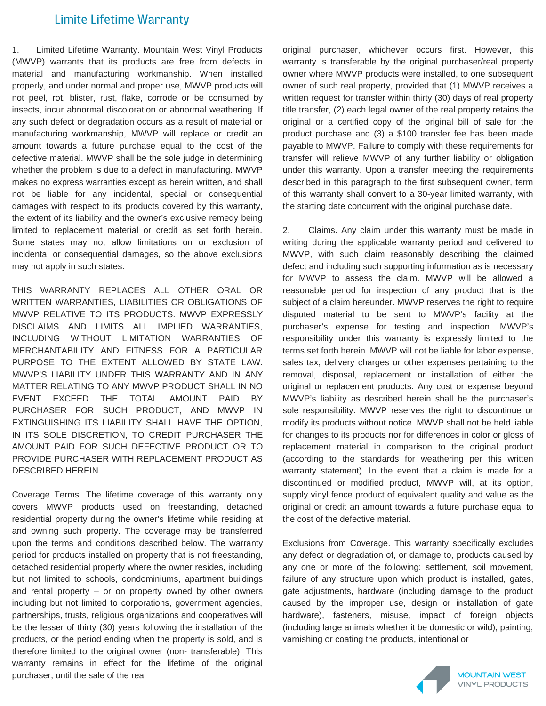#### Limite Lifetime Warranty

1. Limited Lifetime Warranty. Mountain West Vinyl Products (MWVP) warrants that its products are free from defects in material and manufacturing workmanship. When installed properly, and under normal and proper use, MWVP products will not peel, rot, blister, rust, flake, corrode or be consumed by insects, incur abnormal discoloration or abnormal weathering. If any such defect or degradation occurs as a result of material or manufacturing workmanship, MWVP will replace or credit an amount towards a future purchase equal to the cost of the defective material. MWVP shall be the sole judge in determining whether the problem is due to a defect in manufacturing. MWVP makes no express warranties except as herein written, and shall not be liable for any incidental, special or consequential damages with respect to its products covered by this warranty, the extent of its liability and the owner's exclusive remedy being limited to replacement material or credit as set forth herein. Some states may not allow limitations on or exclusion of incidental or consequential damages, so the above exclusions may not apply in such states.

THIS WARRANTY REPLACES ALL OTHER ORAL OR WRITTEN WARRANTIES, LIABILITIES OR OBLIGATIONS OF MWVP RELATIVE TO ITS PRODUCTS. MWVP EXPRESSLY DISCLAIMS AND LIMITS ALL IMPLIED WARRANTIES, INCLUDING WITHOUT LIMITATION WARRANTIES OF MERCHANTABILITY AND FITNESS FOR A PARTICULAR PURPOSE TO THE EXTENT ALLOWED BY STATE LAW. MWVP'S LIABILITY UNDER THIS WARRANTY AND IN ANY MATTER RELATING TO ANY MWVP PRODUCT SHALL IN NO EVENT EXCEED THE TOTAL AMOUNT PAID BY PURCHASER FOR SUCH PRODUCT, AND MWVP IN EXTINGUISHING ITS LIABILITY SHALL HAVE THE OPTION, IN ITS SOLE DISCRETION, TO CREDIT PURCHASER THE AMOUNT PAID FOR SUCH DEFECTIVE PRODUCT OR TO PROVIDE PURCHASER WITH REPLACEMENT PRODUCT AS DESCRIBED HEREIN.

Coverage Terms. The lifetime coverage of this warranty only covers MWVP products used on freestanding, detached residential property during the owner's lifetime while residing at and owning such property. The coverage may be transferred upon the terms and conditions described below. The warranty period for products installed on property that is not freestanding, detached residential property where the owner resides, including but not limited to schools, condominiums, apartment buildings and rental property – or on property owned by other owners including but not limited to corporations, government agencies, partnerships, trusts, religious organizations and cooperatives will be the lesser of thirty (30) years following the installation of the products, or the period ending when the property is sold, and is therefore limited to the original owner (non- transferable). This warranty remains in effect for the lifetime of the original purchaser, until the sale of the real

original purchaser, whichever occurs first. However, this warranty is transferable by the original purchaser/real property owner where MWVP products were installed, to one subsequent owner of such real property, provided that (1) MWVP receives a written request for transfer within thirty (30) days of real property title transfer, (2) each legal owner of the real property retains the original or a certified copy of the original bill of sale for the product purchase and (3) a \$100 transfer fee has been made payable to MWVP. Failure to comply with these requirements for transfer will relieve MWVP of any further liability or obligation under this warranty. Upon a transfer meeting the requirements described in this paragraph to the first subsequent owner, term of this warranty shall convert to a 30-year limited warranty, with the starting date concurrent with the original purchase date.

2. Claims. Any claim under this warranty must be made in writing during the applicable warranty period and delivered to MWVP, with such claim reasonably describing the claimed defect and including such supporting information as is necessary for MWVP to assess the claim. MWVP will be allowed a reasonable period for inspection of any product that is the subject of a claim hereunder. MWVP reserves the right to require disputed material to be sent to MWVP's facility at the purchaser's expense for testing and inspection. MWVP's responsibility under this warranty is expressly limited to the terms set forth herein. MWVP will not be liable for labor expense, sales tax, delivery charges or other expenses pertaining to the removal, disposal, replacement or installation of either the original or replacement products. Any cost or expense beyond MWVP's liability as described herein shall be the purchaser's sole responsibility. MWVP reserves the right to discontinue or modify its products without notice. MWVP shall not be held liable for changes to its products nor for differences in color or gloss of replacement material in comparison to the original product (according to the standards for weathering per this written warranty statement). In the event that a claim is made for a discontinued or modified product, MWVP will, at its option, supply vinyl fence product of equivalent quality and value as the original or credit an amount towards a future purchase equal to the cost of the defective material.

Exclusions from Coverage. This warranty specifically excludes any defect or degradation of, or damage to, products caused by any one or more of the following: settlement, soil movement, failure of any structure upon which product is installed, gates, gate adjustments, hardware (including damage to the product caused by the improper use, design or installation of gate hardware), fasteners, misuse, impact of foreign objects (including large animals whether it be domestic or wild), painting, varnishing or coating the products, intentional or